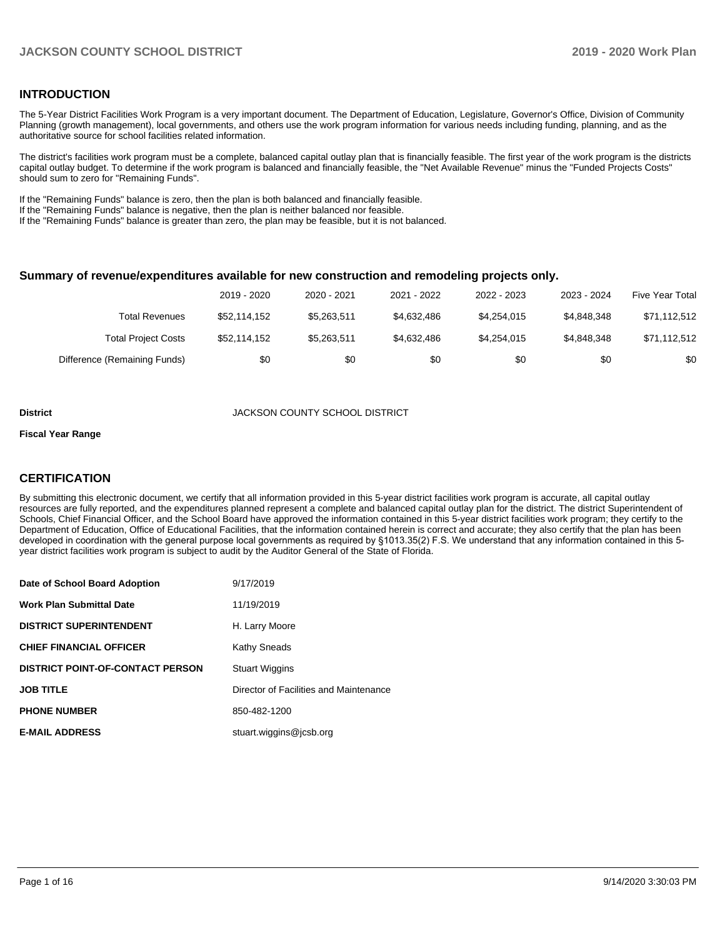## **INTRODUCTION**

The 5-Year District Facilities Work Program is a very important document. The Department of Education, Legislature, Governor's Office, Division of Community Planning (growth management), local governments, and others use the work program information for various needs including funding, planning, and as the authoritative source for school facilities related information.

The district's facilities work program must be a complete, balanced capital outlay plan that is financially feasible. The first year of the work program is the districts capital outlay budget. To determine if the work program is balanced and financially feasible, the "Net Available Revenue" minus the "Funded Projects Costs" should sum to zero for "Remaining Funds".

If the "Remaining Funds" balance is zero, then the plan is both balanced and financially feasible.

If the "Remaining Funds" balance is negative, then the plan is neither balanced nor feasible.

If the "Remaining Funds" balance is greater than zero, the plan may be feasible, but it is not balanced.

#### **Summary of revenue/expenditures available for new construction and remodeling projects only.**

|                              | 2019 - 2020  | 2020 - 2021 | 2021 - 2022 | 2022 - 2023 | 2023 - 2024 | <b>Five Year Total</b> |
|------------------------------|--------------|-------------|-------------|-------------|-------------|------------------------|
| Total Revenues               | \$52,114,152 | \$5.263.511 | \$4,632,486 | \$4.254.015 | \$4.848.348 | \$71,112,512           |
| <b>Total Project Costs</b>   | \$52,114,152 | \$5,263,511 | \$4,632,486 | \$4,254,015 | \$4.848.348 | \$71,112,512           |
| Difference (Remaining Funds) | \$0          | \$0         | \$0         | \$0         | \$0         | \$0                    |

#### **District COUNTY SCHOOL DISTRICT**

#### **Fiscal Year Range**

# **CERTIFICATION**

By submitting this electronic document, we certify that all information provided in this 5-year district facilities work program is accurate, all capital outlay resources are fully reported, and the expenditures planned represent a complete and balanced capital outlay plan for the district. The district Superintendent of Schools, Chief Financial Officer, and the School Board have approved the information contained in this 5-year district facilities work program; they certify to the Department of Education, Office of Educational Facilities, that the information contained herein is correct and accurate; they also certify that the plan has been developed in coordination with the general purpose local governments as required by §1013.35(2) F.S. We understand that any information contained in this 5 year district facilities work program is subject to audit by the Auditor General of the State of Florida.

| Date of School Board Adoption           | 9/17/2019                              |
|-----------------------------------------|----------------------------------------|
| Work Plan Submittal Date                | 11/19/2019                             |
| <b>DISTRICT SUPERINTENDENT</b>          | H. Larry Moore                         |
| <b>CHIEF FINANCIAL OFFICER</b>          | Kathy Sneads                           |
| <b>DISTRICT POINT-OF-CONTACT PERSON</b> | <b>Stuart Wiggins</b>                  |
| JOB TITLE                               | Director of Facilities and Maintenance |
| <b>PHONE NUMBER</b>                     | 850-482-1200                           |
| <b>E-MAIL ADDRESS</b>                   | stuart.wiggins@icsb.org                |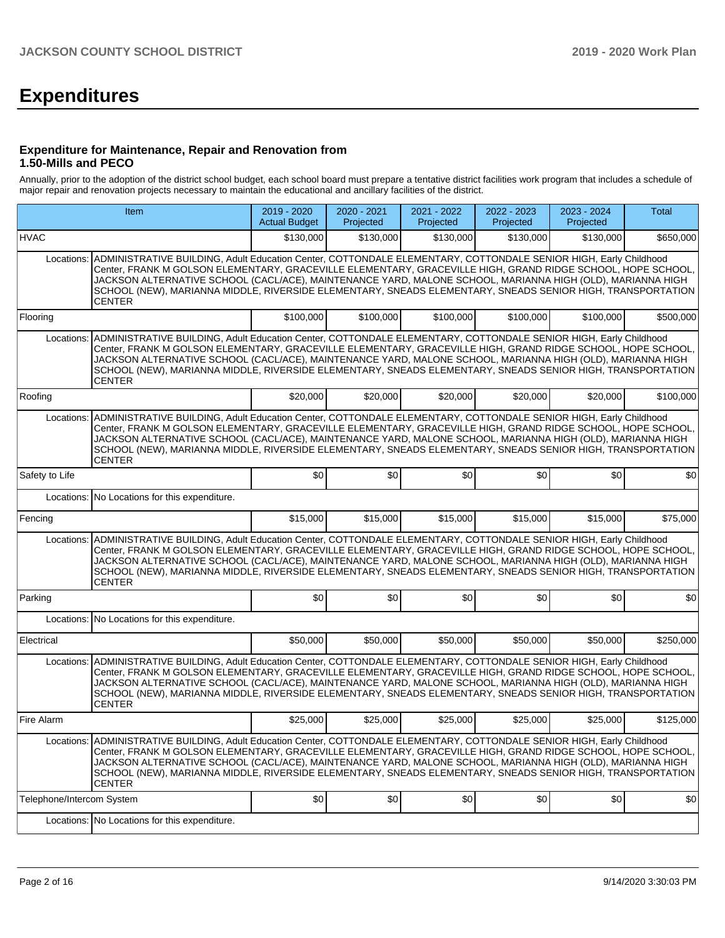# **Expenditures**

### **Expenditure for Maintenance, Repair and Renovation from 1.50-Mills and PECO**

Annually, prior to the adoption of the district school budget, each school board must prepare a tentative district facilities work program that includes a schedule of major repair and renovation projects necessary to maintain the educational and ancillary facilities of the district.

|                           | Item                                                                                                                                                                                                                                                                                                                                                                                                                                                                                   | 2019 - 2020<br><b>Actual Budget</b> | 2020 - 2021<br>Projected | 2021 - 2022<br>Projected | 2022 - 2023<br>Projected | 2023 - 2024<br>Projected | Total     |
|---------------------------|----------------------------------------------------------------------------------------------------------------------------------------------------------------------------------------------------------------------------------------------------------------------------------------------------------------------------------------------------------------------------------------------------------------------------------------------------------------------------------------|-------------------------------------|--------------------------|--------------------------|--------------------------|--------------------------|-----------|
| <b>HVAC</b>               |                                                                                                                                                                                                                                                                                                                                                                                                                                                                                        | \$130,000                           | \$130,000                | \$130,000                | \$130,000                | \$130,000                | \$650,000 |
| Locations:                | ADMINISTRATIVE BUILDING, Adult Education Center, COTTONDALE ELEMENTARY, COTTONDALE SENIOR HIGH, Early Childhood<br>Center, FRANK M GOLSON ELEMENTARY, GRACEVILLE ELEMENTARY, GRACEVILLE HIGH, GRAND RIDGE SCHOOL, HOPE SCHOOL.<br>JACKSON ALTERNATIVE SCHOOL (CACL/ACE), MAINTENANCE YARD, MALONE SCHOOL, MARIANNA HIGH (OLD), MARIANNA HIGH<br>SCHOOL (NEW), MARIANNA MIDDLE, RIVERSIDE ELEMENTARY, SNEADS ELEMENTARY, SNEADS SENIOR HIGH, TRANSPORTATION<br>CENTER                   |                                     |                          |                          |                          |                          |           |
| Flooring                  |                                                                                                                                                                                                                                                                                                                                                                                                                                                                                        | \$100,000                           | \$100,000                | \$100,000                | \$100,000                | \$100,000                | \$500,000 |
| Locations:                | ADMINISTRATIVE BUILDING, Adult Education Center, COTTONDALE ELEMENTARY, COTTONDALE SENIOR HIGH, Early Childhood<br>Center, FRANK M GOLSON ELEMENTARY, GRACEVILLE ELEMENTARY, GRACEVILLE HIGH, GRAND RIDGE SCHOOL, HOPE SCHOOL,<br>JACKSON ALTERNATIVE SCHOOL (CACL/ACE), MAINTENANCE YARD, MALONE SCHOOL, MARIANNA HIGH (OLD), MARIANNA HIGH<br>SCHOOL (NEW), MARIANNA MIDDLE, RIVERSIDE ELEMENTARY, SNEADS ELEMENTARY, SNEADS SENIOR HIGH, TRANSPORTATION<br>CENTER                   |                                     |                          |                          |                          |                          |           |
| Roofing                   |                                                                                                                                                                                                                                                                                                                                                                                                                                                                                        | \$20,000                            | \$20,000                 | \$20,000                 | \$20,000                 | \$20,000                 | \$100,000 |
| Locations:                | ADMINISTRATIVE BUILDING, Adult Education Center, COTTONDALE ELEMENTARY, COTTONDALE SENIOR HIGH, Early Childhood<br>Center, FRANK M GOLSON ELEMENTARY, GRACEVILLE ELEMENTARY, GRACEVILLE HIGH, GRAND RIDGE SCHOOL, HOPE SCHOOL,<br>JACKSON ALTERNATIVE SCHOOL (CACL/ACE), MAINTENANCE YARD, MALONE SCHOOL, MARIANNA HIGH (OLD), MARIANNA HIGH<br>SCHOOL (NEW), MARIANNA MIDDLE, RIVERSIDE ELEMENTARY, SNEADS ELEMENTARY, SNEADS SENIOR HIGH, TRANSPORTATION<br><b>CENTER</b>            |                                     |                          |                          |                          |                          |           |
| Safety to Life            |                                                                                                                                                                                                                                                                                                                                                                                                                                                                                        | \$0                                 | \$0                      | \$0                      | \$0                      | \$0                      | \$0       |
| Locations:                | No Locations for this expenditure.                                                                                                                                                                                                                                                                                                                                                                                                                                                     |                                     |                          |                          |                          |                          |           |
| Fencing                   |                                                                                                                                                                                                                                                                                                                                                                                                                                                                                        | \$15,000                            | \$15,000                 | \$15,000                 | \$15,000                 | \$15,000                 | \$75,000  |
| Locations:                | ADMINISTRATIVE BUILDING, Adult Education Center, COTTONDALE ELEMENTARY, COTTONDALE SENIOR HIGH, Early Childhood<br>Center, FRANK M GOLSON ELEMENTARY, GRACEVILLE ELEMENTARY, GRACEVILLE HIGH, GRAND RIDGE SCHOOL, HOPE SCHOOL,<br>JACKSON ALTERNATIVE SCHOOL (CACL/ACE), MAINTENANCE YARD, MALONE SCHOOL, MARIANNA HIGH (OLD), MARIANNA HIGH<br>SCHOOL (NEW), MARIANNA MIDDLE, RIVERSIDE ELEMENTARY, SNEADS ELEMENTARY, SNEADS SENIOR HIGH, TRANSPORTATION<br><b>CENTER</b>            |                                     |                          |                          |                          |                          |           |
| Parking                   |                                                                                                                                                                                                                                                                                                                                                                                                                                                                                        | \$0                                 | \$0                      | \$0                      | \$0                      | \$0                      | \$0       |
|                           | Locations: No Locations for this expenditure.                                                                                                                                                                                                                                                                                                                                                                                                                                          |                                     |                          |                          |                          |                          |           |
| Electrical                |                                                                                                                                                                                                                                                                                                                                                                                                                                                                                        | \$50,000                            | \$50,000                 | \$50,000                 | \$50,000                 | \$50,000                 | \$250,000 |
| Locations:                | ADMINISTRATIVE BUILDING, Adult Education Center, COTTONDALE ELEMENTARY, COTTONDALE SENIOR HIGH, Early Childhood<br>Center, FRANK M GOLSON ELEMENTARY, GRACEVILLE ELEMENTARY, GRACEVILLE HIGH, GRAND RIDGE SCHOOL, HOPE SCHOOL,<br>JACKSON ALTERNATIVE SCHOOL (CACL/ACE), MAINTENANCE YARD, MALONE SCHOOL, MARIANNA HIGH (OLD), MARIANNA HIGH<br>SCHOOL (NEW), MARIANNA MIDDLE, RIVERSIDE ELEMENTARY, SNEADS ELEMENTARY, SNEADS SENIOR HIGH, TRANSPORTATION<br><b>CENTER</b>            |                                     |                          |                          |                          |                          |           |
| Fire Alarm                |                                                                                                                                                                                                                                                                                                                                                                                                                                                                                        | \$25,000                            | \$25,000                 | \$25,000                 | \$25,000                 | \$25,000                 | \$125,000 |
|                           | Locations: ADMINISTRATIVE BUILDING, Adult Education Center, COTTONDALE ELEMENTARY, COTTONDALE SENIOR HIGH, Early Childhood<br>Center, FRANK M GOLSON ELEMENTARY, GRACEVILLE ELEMENTARY, GRACEVILLE HIGH, GRAND RIDGE SCHOOL, HOPE SCHOOL,<br>JACKSON ALTERNATIVE SCHOOL (CACL/ACE), MAINTENANCE YARD, MALONE SCHOOL, MARIANNA HIGH (OLD), MARIANNA HIGH<br>SCHOOL (NEW), MARIANNA MIDDLE, RIVERSIDE ELEMENTARY, SNEADS ELEMENTARY, SNEADS SENIOR HIGH, TRANSPORTATION<br><b>CENTER</b> |                                     |                          |                          |                          |                          |           |
| Telephone/Intercom System |                                                                                                                                                                                                                                                                                                                                                                                                                                                                                        | \$0                                 | \$0                      | \$0                      | \$0                      | \$0                      | 30        |
|                           | Locations: No Locations for this expenditure.                                                                                                                                                                                                                                                                                                                                                                                                                                          |                                     |                          |                          |                          |                          |           |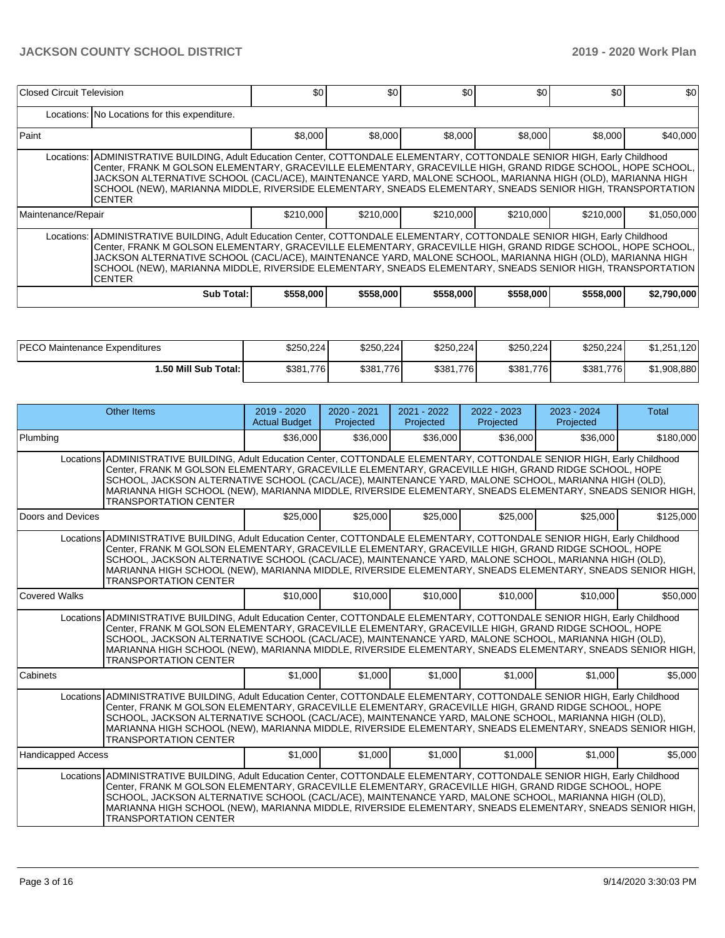| Closed Circuit Television                                                                                                                                                                                                                                                                                                                                                                                                                                                              |                                                                                                                                                                                                                                                                                                                                                                                                                                                                                        | \$0       | \$0       | \$0       | \$0       | \$0       | \$0         |  |  |  |  |  |  |
|----------------------------------------------------------------------------------------------------------------------------------------------------------------------------------------------------------------------------------------------------------------------------------------------------------------------------------------------------------------------------------------------------------------------------------------------------------------------------------------|----------------------------------------------------------------------------------------------------------------------------------------------------------------------------------------------------------------------------------------------------------------------------------------------------------------------------------------------------------------------------------------------------------------------------------------------------------------------------------------|-----------|-----------|-----------|-----------|-----------|-------------|--|--|--|--|--|--|
|                                                                                                                                                                                                                                                                                                                                                                                                                                                                                        | Locations: No Locations for this expenditure.                                                                                                                                                                                                                                                                                                                                                                                                                                          |           |           |           |           |           |             |  |  |  |  |  |  |
| Paint                                                                                                                                                                                                                                                                                                                                                                                                                                                                                  |                                                                                                                                                                                                                                                                                                                                                                                                                                                                                        | \$8,000   | \$8,000   | \$8,000   | \$8,000   | \$8,000   | \$40,000    |  |  |  |  |  |  |
|                                                                                                                                                                                                                                                                                                                                                                                                                                                                                        | Locations: ADMINISTRATIVE BUILDING, Adult Education Center, COTTONDALE ELEMENTARY, COTTONDALE SENIOR HIGH, Early Childhood<br>Center, FRANK M GOLSON ELEMENTARY, GRACEVILLE ELEMENTARY, GRACEVILLE HIGH, GRAND RIDGE SCHOOL, HOPE SCHOOL,<br>JACKSON ALTERNATIVE SCHOOL (CACL/ACE), MAINTENANCE YARD, MALONE SCHOOL, MARIANNA HIGH (OLD), MARIANNA HIGH<br>SCHOOL (NEW), MARIANNA MIDDLE, RIVERSIDE ELEMENTARY, SNEADS ELEMENTARY, SNEADS SENIOR HIGH, TRANSPORTATION<br><b>CENTER</b> |           |           |           |           |           |             |  |  |  |  |  |  |
| Maintenance/Repair                                                                                                                                                                                                                                                                                                                                                                                                                                                                     |                                                                                                                                                                                                                                                                                                                                                                                                                                                                                        | \$210,000 | \$210,000 | \$210,000 | \$210,000 | \$210,000 | \$1,050,000 |  |  |  |  |  |  |
| Locations: ADMINISTRATIVE BUILDING, Adult Education Center, COTTONDALE ELEMENTARY, COTTONDALE SENIOR HIGH, Early Childhood<br>Center, FRANK M GOLSON ELEMENTARY, GRACEVILLE ELEMENTARY, GRACEVILLE HIGH, GRAND RIDGE SCHOOL, HOPE SCHOOL,<br>JACKSON ALTERNATIVE SCHOOL (CACL/ACE), MAINTENANCE YARD, MALONE SCHOOL, MARIANNA HIGH (OLD), MARIANNA HIGH<br>SCHOOL (NEW), MARIANNA MIDDLE, RIVERSIDE ELEMENTARY, SNEADS ELEMENTARY, SNEADS SENIOR HIGH, TRANSPORTATION<br><b>CENTER</b> |                                                                                                                                                                                                                                                                                                                                                                                                                                                                                        |           |           |           |           |           |             |  |  |  |  |  |  |
|                                                                                                                                                                                                                                                                                                                                                                                                                                                                                        | Sub Total:                                                                                                                                                                                                                                                                                                                                                                                                                                                                             | \$558,000 | \$558,000 | \$558,000 | \$558,000 | \$558,000 | \$2,790,000 |  |  |  |  |  |  |

| <b>IPECO Maintenance Expenditures</b> | \$250.224     | \$250.224 | \$250.224 | \$250.224 | \$250,224 | \$1,251,120 |
|---------------------------------------|---------------|-----------|-----------|-----------|-----------|-------------|
| 1.50 Mill Sub Total: I                | \$381<br>.776 | \$381,776 | \$381,776 | \$381,776 | \$381,776 | \$1,908,880 |

| <b>Other Items</b>                                                                                                                                                                                                                                                                                                                                                                                                                                                                    | $2019 - 2020$<br><b>Actual Budget</b> | 2020 - 2021<br>Projected | $2021 - 2022$<br>Projected | 2022 - 2023<br>Projected | 2023 - 2024<br>Projected | <b>Total</b> |  |  |  |  |
|---------------------------------------------------------------------------------------------------------------------------------------------------------------------------------------------------------------------------------------------------------------------------------------------------------------------------------------------------------------------------------------------------------------------------------------------------------------------------------------|---------------------------------------|--------------------------|----------------------------|--------------------------|--------------------------|--------------|--|--|--|--|
| Plumbing                                                                                                                                                                                                                                                                                                                                                                                                                                                                              | \$36,000                              | \$36,000                 | \$36,000                   | \$36,000                 | \$36,000                 | \$180,000    |  |  |  |  |
| Locations ADMINISTRATIVE BUILDING, Adult Education Center, COTTONDALE ELEMENTARY, COTTONDALE SENIOR HIGH, Early Childhood<br>Center, FRANK M GOLSON ELEMENTARY, GRACEVILLE ELEMENTARY, GRACEVILLE HIGH, GRAND RIDGE SCHOOL, HOPE<br>SCHOOL, JACKSON ALTERNATIVE SCHOOL (CACL/ACE), MAINTENANCE YARD, MALONE SCHOOL, MARIANNA HIGH (OLD),<br>MARIANNA HIGH SCHOOL (NEW), MARIANNA MIDDLE, RIVERSIDE ELEMENTARY, SNEADS ELEMENTARY, SNEADS SENIOR HIGH,<br><b>TRANSPORTATION CENTER</b> |                                       |                          |                            |                          |                          |              |  |  |  |  |
| Doors and Devices                                                                                                                                                                                                                                                                                                                                                                                                                                                                     | \$25,000                              | \$25,000                 | \$25,000                   | \$25,000                 | \$25,000                 | \$125,000    |  |  |  |  |
| Locations ADMINISTRATIVE BUILDING, Adult Education Center, COTTONDALE ELEMENTARY, COTTONDALE SENIOR HIGH, Early Childhood<br>Center, FRANK M GOLSON ELEMENTARY, GRACEVILLE ELEMENTARY, GRACEVILLE HIGH, GRAND RIDGE SCHOOL, HOPE<br>SCHOOL, JACKSON ALTERNATIVE SCHOOL (CACL/ACE), MAINTENANCE YARD, MALONE SCHOOL, MARIANNA HIGH (OLD),<br>MARIANNA HIGH SCHOOL (NEW), MARIANNA MIDDLE, RIVERSIDE ELEMENTARY, SNEADS ELEMENTARY, SNEADS SENIOR HIGH,<br><b>TRANSPORTATION CENTER</b> |                                       |                          |                            |                          |                          |              |  |  |  |  |
| Covered Walks                                                                                                                                                                                                                                                                                                                                                                                                                                                                         | \$10,000                              | \$10,000                 | \$10,000                   | \$10,000                 | \$10,000                 | \$50,000     |  |  |  |  |
| Locations ADMINISTRATIVE BUILDING, Adult Education Center, COTTONDALE ELEMENTARY, COTTONDALE SENIOR HIGH, Early Childhood<br>Center, FRANK M GOLSON ELEMENTARY, GRACEVILLE ELEMENTARY, GRACEVILLE HIGH, GRAND RIDGE SCHOOL, HOPE<br>SCHOOL, JACKSON ALTERNATIVE SCHOOL (CACL/ACE), MAINTENANCE YARD, MALONE SCHOOL, MARIANNA HIGH (OLD),<br>MARIANNA HIGH SCHOOL (NEW), MARIANNA MIDDLE, RIVERSIDE ELEMENTARY, SNEADS ELEMENTARY, SNEADS SENIOR HIGH,<br><b>TRANSPORTATION CENTER</b> |                                       |                          |                            |                          |                          |              |  |  |  |  |
| <b>Cabinets</b>                                                                                                                                                                                                                                                                                                                                                                                                                                                                       | \$1,000                               | \$1,000                  | \$1,000                    | \$1,000                  | \$1,000                  | \$5,000      |  |  |  |  |
| Locations ADMINISTRATIVE BUILDING, Adult Education Center, COTTONDALE ELEMENTARY, COTTONDALE SENIOR HIGH, Early Childhood<br>Center, FRANK M GOLSON ELEMENTARY, GRACEVILLE ELEMENTARY, GRACEVILLE HIGH, GRAND RIDGE SCHOOL, HOPE<br>SCHOOL, JACKSON ALTERNATIVE SCHOOL (CACL/ACE), MAINTENANCE YARD, MALONE SCHOOL, MARIANNA HIGH (OLD),<br>MARIANNA HIGH SCHOOL (NEW), MARIANNA MIDDLE, RIVERSIDE ELEMENTARY, SNEADS ELEMENTARY, SNEADS SENIOR HIGH,<br><b>TRANSPORTATION CENTER</b> |                                       |                          |                            |                          |                          |              |  |  |  |  |
| Handicapped Access                                                                                                                                                                                                                                                                                                                                                                                                                                                                    | \$1,000                               | \$1,000                  | \$1,000                    | \$1,000                  | \$1,000                  | \$5,000      |  |  |  |  |
| Locations ADMINISTRATIVE BUILDING, Adult Education Center, COTTONDALE ELEMENTARY, COTTONDALE SENIOR HIGH, Early Childhood<br>Center, FRANK M GOLSON ELEMENTARY, GRACEVILLE ELEMENTARY, GRACEVILLE HIGH, GRAND RIDGE SCHOOL, HOPE<br>SCHOOL, JACKSON ALTERNATIVE SCHOOL (CACL/ACE), MAINTENANCE YARD, MALONE SCHOOL, MARIANNA HIGH (OLD),<br>MARIANNA HIGH SCHOOL (NEW), MARIANNA MIDDLE, RIVERSIDE ELEMENTARY, SNEADS ELEMENTARY, SNEADS SÈNIOR HIGH,<br><b>TRANSPORTATION CENTER</b> |                                       |                          |                            |                          |                          |              |  |  |  |  |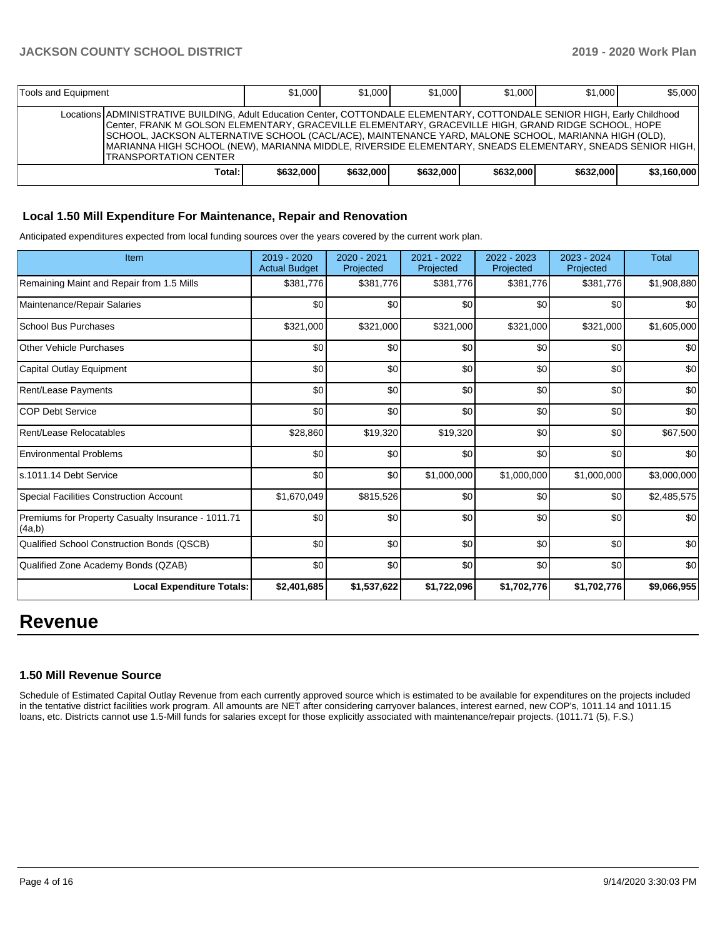| Tools and Equipment                                                                                                                                                                                                                                                                                                                                                                                                                                                                      |        | \$1.000   | \$1,000   | \$1,000   | \$1,000   | \$1,000   | \$5,000     |
|------------------------------------------------------------------------------------------------------------------------------------------------------------------------------------------------------------------------------------------------------------------------------------------------------------------------------------------------------------------------------------------------------------------------------------------------------------------------------------------|--------|-----------|-----------|-----------|-----------|-----------|-------------|
| Locations ADMINISTRATIVE BUILDING, Adult Education Center, COTTONDALE ELEMENTARY, COTTONDALE SENIOR HIGH, Early Childhood<br>Center, FRANK M GOLSON ELEMENTARY, GRACEVILLE ELEMENTARY, GRACEVILLE HIGH, GRAND RIDGE SCHOOL, HOPE<br>ISCHOOL, JACKSON ALTERNATIVE SCHOOL (CACL/ACE), MAINTENANCE YARD, MALONE SCHOOL, MARIANNA HIGH (OLD),<br>IMARIANNA HIGH SCHOOL (NEW), MARIANNA MIDDLE, RIVERSIDE ELEMENTARY, SNEADS ELEMENTARY, SNEADS SENIOR HIGH,<br><b>ITRANSPORTATION CENTER</b> |        |           |           |           |           |           |             |
|                                                                                                                                                                                                                                                                                                                                                                                                                                                                                          | Total: | \$632,000 | \$632,000 | \$632,000 | \$632,000 | \$632,000 | \$3.160.000 |

### **Local 1.50 Mill Expenditure For Maintenance, Repair and Renovation**

Anticipated expenditures expected from local funding sources over the years covered by the current work plan.

| Item                                                         | 2019 - 2020<br><b>Actual Budget</b> | $2020 - 2021$<br>Projected | 2021 - 2022<br>Projected | 2022 - 2023<br>Projected | 2023 - 2024<br>Projected | <b>Total</b> |
|--------------------------------------------------------------|-------------------------------------|----------------------------|--------------------------|--------------------------|--------------------------|--------------|
| Remaining Maint and Repair from 1.5 Mills                    | \$381,776                           | \$381,776                  | \$381,776                | \$381,776                | \$381,776                | \$1,908,880  |
| Maintenance/Repair Salaries                                  | \$0                                 | \$0                        | \$0                      | \$0                      | \$0                      | \$0          |
| <b>School Bus Purchases</b>                                  | \$321,000                           | \$321,000                  | \$321,000                | \$321,000                | \$321,000                | \$1,605,000  |
| <b>Other Vehicle Purchases</b>                               | \$0                                 | \$0                        | \$0                      | \$0                      | \$0                      | \$0          |
| Capital Outlay Equipment                                     | \$0                                 | \$0                        | \$0                      | \$0                      | \$0                      | \$0          |
| Rent/Lease Payments                                          | \$0                                 | \$0                        | \$0                      | \$0                      | \$0                      | \$0          |
| <b>COP Debt Service</b>                                      | \$0                                 | \$0                        | \$0                      | \$0                      | \$0                      | \$0          |
| Rent/Lease Relocatables                                      | \$28,860                            | \$19,320                   | \$19,320                 | \$0                      | \$0                      | \$67,500     |
| <b>Environmental Problems</b>                                | \$0                                 | \$0                        | \$0                      | \$0                      | \$0                      | \$0          |
| s.1011.14 Debt Service                                       | \$0                                 | \$0                        | \$1,000,000              | \$1,000,000              | \$1,000,000              | \$3,000,000  |
| <b>Special Facilities Construction Account</b>               | \$1,670,049                         | \$815,526                  | \$0                      | \$0                      | \$0                      | \$2,485,575  |
| Premiums for Property Casualty Insurance - 1011.71<br>(4a,b) | \$0                                 | \$0                        | \$0                      | \$0                      | \$0                      | \$0          |
| Qualified School Construction Bonds (QSCB)                   | \$0                                 | \$0                        | \$0                      | \$0                      | \$0                      | \$0          |
| Qualified Zone Academy Bonds (QZAB)                          | \$0                                 | \$0                        | \$0                      | \$0                      | \$0                      | \$0          |
| <b>Local Expenditure Totals:</b>                             | \$2,401,685                         | \$1,537,622                | \$1,722,096              | \$1,702,776              | \$1,702,776              | \$9,066,955  |

# **Revenue**

#### **1.50 Mill Revenue Source**

Schedule of Estimated Capital Outlay Revenue from each currently approved source which is estimated to be available for expenditures on the projects included in the tentative district facilities work program. All amounts are NET after considering carryover balances, interest earned, new COP's, 1011.14 and 1011.15 loans, etc. Districts cannot use 1.5-Mill funds for salaries except for those explicitly associated with maintenance/repair projects. (1011.71 (5), F.S.)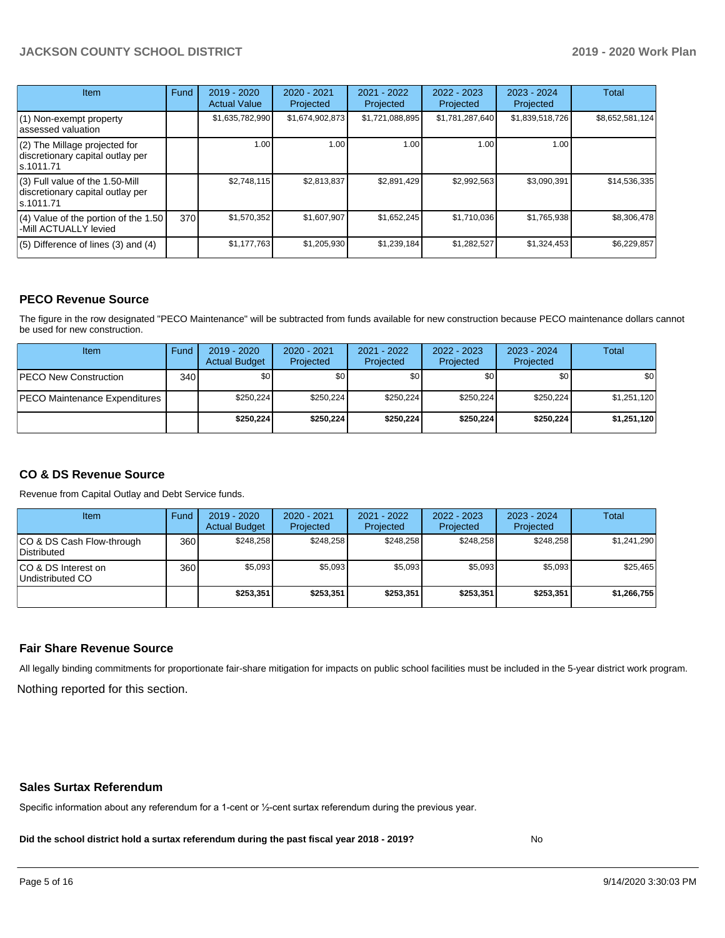| <b>Item</b>                                                                       | Fund | $2019 - 2020$<br><b>Actual Value</b> | 2020 - 2021<br>Projected | 2021 - 2022<br>Projected | $2022 - 2023$<br>Projected | $2023 - 2024$<br>Projected | Total           |
|-----------------------------------------------------------------------------------|------|--------------------------------------|--------------------------|--------------------------|----------------------------|----------------------------|-----------------|
| (1) Non-exempt property<br>lassessed valuation                                    |      | \$1,635,782,990                      | \$1,674,902,873          | \$1,721,088,895          | \$1,781,287,640            | \$1,839,518,726            | \$8,652,581,124 |
| (2) The Millage projected for<br>discretionary capital outlay per<br>ls.1011.71   |      | 1.00                                 | 1.00                     | 1.00                     | 1.00                       | 1.00                       |                 |
| (3) Full value of the 1.50-Mill<br>discretionary capital outlay per<br>ls.1011.71 |      | \$2,748.115                          | \$2,813,837              | \$2,891,429              | \$2,992,563                | \$3,090,391                | \$14,536,335    |
| $(4)$ Value of the portion of the 1.50<br>-Mill ACTUALLY levied                   | 370  | \$1,570,352                          | \$1,607,907              | \$1,652,245              | \$1,710,036                | \$1,765,938                | \$8,306,478     |
| $(5)$ Difference of lines (3) and (4)                                             |      | \$1,177,763                          | \$1,205,930              | \$1,239,184              | \$1,282,527                | \$1,324,453                | \$6,229,857     |

#### **PECO Revenue Source**

The figure in the row designated "PECO Maintenance" will be subtracted from funds available for new construction because PECO maintenance dollars cannot be used for new construction.

| Item                          | Fund         | $2019 - 2020$<br><b>Actual Budget</b> | 2020 - 2021<br>Projected | 2021 - 2022<br>Projected | 2022 - 2023<br>Projected | $2023 - 2024$<br>Projected | Total       |
|-------------------------------|--------------|---------------------------------------|--------------------------|--------------------------|--------------------------|----------------------------|-------------|
| <b>IPECO New Construction</b> | 340 <b>I</b> | \$0                                   | \$0                      | \$0                      | \$0                      | \$0                        | \$0         |
| PECO Maintenance Expenditures |              | \$250.224                             | \$250,224                | \$250.224                | \$250.224                | \$250,224                  | \$1,251,120 |
|                               |              | \$250.224                             | \$250,224                | \$250,224                | \$250.224                | \$250,224                  | \$1,251,120 |

# **CO & DS Revenue Source**

Revenue from Capital Outlay and Debt Service funds.

| Item                                      | Fund | 2019 - 2020<br><b>Actual Budget</b> | 2020 - 2021<br>Projected | 2021 - 2022<br>Projected | $2022 - 2023$<br>Projected | $2023 - 2024$<br>Projected | Total       |
|-------------------------------------------|------|-------------------------------------|--------------------------|--------------------------|----------------------------|----------------------------|-------------|
| ICO & DS Cash Flow-through<br>Distributed | 360  | \$248.258                           | \$248.258                | \$248.258                | \$248.258                  | \$248.258                  | \$1,241,290 |
| ICO & DS Interest on<br>Undistributed CO  | 360  | \$5.093                             | \$5,093                  | \$5.093                  | \$5.093                    | \$5,093                    | \$25,465    |
|                                           |      | \$253,351                           | \$253.351                | \$253.351                | \$253.351                  | \$253.351                  | \$1,266,755 |

#### **Fair Share Revenue Source**

Nothing reported for this section. All legally binding commitments for proportionate fair-share mitigation for impacts on public school facilities must be included in the 5-year district work program.

#### **Sales Surtax Referendum**

Specific information about any referendum for a 1-cent or ½-cent surtax referendum during the previous year.

**Did the school district hold a surtax referendum during the past fiscal year 2018 - 2019?**

No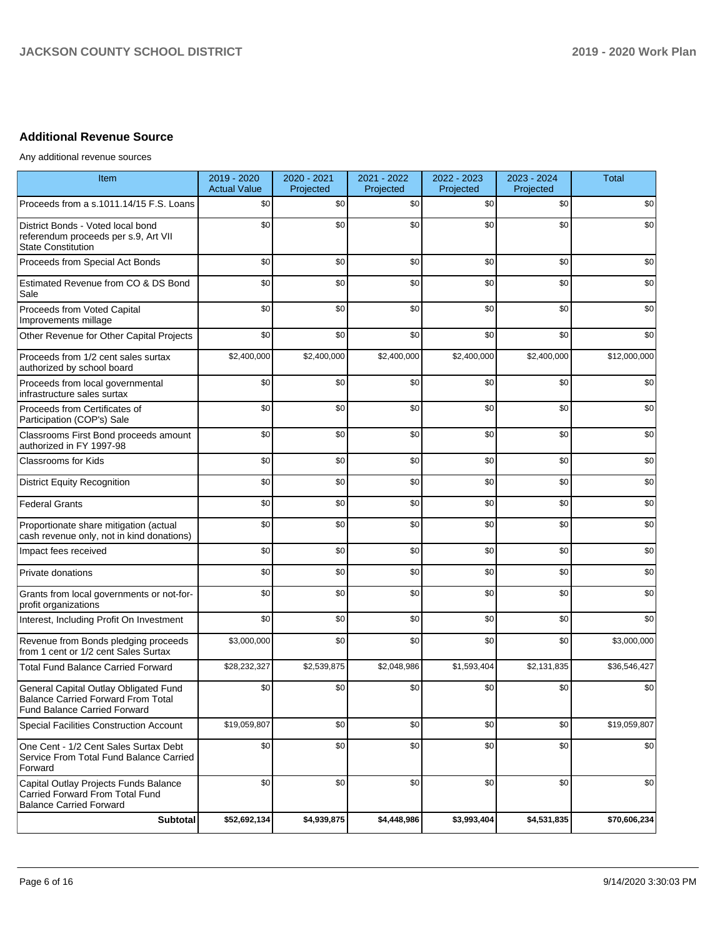# **Additional Revenue Source**

Any additional revenue sources

| Item                                                                                                               | 2019 - 2020<br><b>Actual Value</b> | 2020 - 2021<br>Projected | 2021 - 2022<br>Projected | 2022 - 2023<br>Projected | 2023 - 2024<br>Projected | <b>Total</b>             |
|--------------------------------------------------------------------------------------------------------------------|------------------------------------|--------------------------|--------------------------|--------------------------|--------------------------|--------------------------|
| Proceeds from a s.1011.14/15 F.S. Loans                                                                            | \$0                                | \$0                      | \$0                      | \$0                      | \$0                      | \$0                      |
| District Bonds - Voted local bond<br>referendum proceeds per s.9, Art VII<br><b>State Constitution</b>             | \$0                                | \$0                      | \$0                      | \$0                      | \$0                      | \$0                      |
| Proceeds from Special Act Bonds                                                                                    | \$0                                | \$0                      | \$0                      | \$0                      | \$0                      | \$0                      |
| Estimated Revenue from CO & DS Bond<br>Sale                                                                        | \$0                                | \$0                      | \$0                      | \$0                      | \$0                      | \$0                      |
| Proceeds from Voted Capital<br>Improvements millage                                                                | \$0                                | \$0                      | \$0                      | \$0                      | \$0                      | \$0                      |
| Other Revenue for Other Capital Projects                                                                           | \$0                                | \$0                      | \$0                      | \$0                      | \$0                      | \$0                      |
| Proceeds from 1/2 cent sales surtax<br>authorized by school board                                                  | \$2,400,000                        | \$2,400,000              | \$2,400,000              | \$2,400,000              | \$2,400,000              | \$12,000,000             |
| Proceeds from local governmental<br>infrastructure sales surtax                                                    | \$0                                | \$0                      | \$0                      | \$0                      | \$0                      | \$0                      |
| Proceeds from Certificates of<br>Participation (COP's) Sale                                                        | \$0                                | \$0                      | \$0                      | \$0                      | \$0                      | \$0                      |
| Classrooms First Bond proceeds amount<br>authorized in FY 1997-98                                                  | \$0                                | \$0                      | \$0                      | \$0                      | \$0                      | \$0                      |
| Classrooms for Kids                                                                                                | \$0                                | \$0                      | \$0                      | \$0                      | \$0                      | \$0                      |
| <b>District Equity Recognition</b>                                                                                 | \$0                                | \$0                      | \$0                      | \$0                      | \$0                      | \$0                      |
| <b>Federal Grants</b>                                                                                              | \$0                                | \$0                      | \$0                      | \$0                      | \$0                      | \$0                      |
| Proportionate share mitigation (actual<br>cash revenue only, not in kind donations)                                | \$0                                | \$0                      | \$0                      | \$0                      | \$0                      | \$0                      |
| Impact fees received                                                                                               | \$0                                | \$0                      | \$0                      | \$0                      | \$0                      | \$0                      |
| Private donations                                                                                                  | \$0                                | \$0                      | \$0                      | \$0                      | \$0                      | \$0                      |
| Grants from local governments or not-for-<br>profit organizations                                                  | \$0                                | \$0                      | \$0                      | \$0                      | \$0                      | \$0                      |
| Interest, Including Profit On Investment                                                                           | \$0                                | \$0                      | \$0                      | \$0                      | \$0                      | \$0                      |
| Revenue from Bonds pledging proceeds<br>from 1 cent or 1/2 cent Sales Surtax                                       | \$3,000,000                        | \$0                      | \$0                      | \$0                      | \$0                      | \$3,000,000              |
| <b>Total Fund Balance Carried Forward</b>                                                                          | \$28,232,327                       | \$2,539,875              | \$2,048,986              | \$1,593,404              | \$2,131,835              | \$36,546,427             |
| General Capital Outlay Obligated Fund<br>Balance Carried Forward From Total<br><b>Fund Balance Carried Forward</b> | \$0                                | \$0                      | \$0                      | \$0                      | \$0                      | \$0                      |
| Special Facilities Construction Account                                                                            | \$19,059,807                       | \$0                      | \$0                      | \$0                      | \$0                      | $\overline{$19,059,807}$ |
| One Cent - 1/2 Cent Sales Surtax Debt<br>Service From Total Fund Balance Carried<br>Forward                        | \$0                                | \$0                      | \$0                      | \$0                      | \$0                      | \$0                      |
| Capital Outlay Projects Funds Balance<br>Carried Forward From Total Fund<br><b>Balance Carried Forward</b>         | \$0                                | \$0                      | \$0                      | \$0                      | \$0                      | \$0                      |
| <b>Subtotal</b>                                                                                                    | \$52,692,134                       | \$4,939,875              | \$4,448,986              | \$3,993,404              | \$4,531,835              | \$70,606,234             |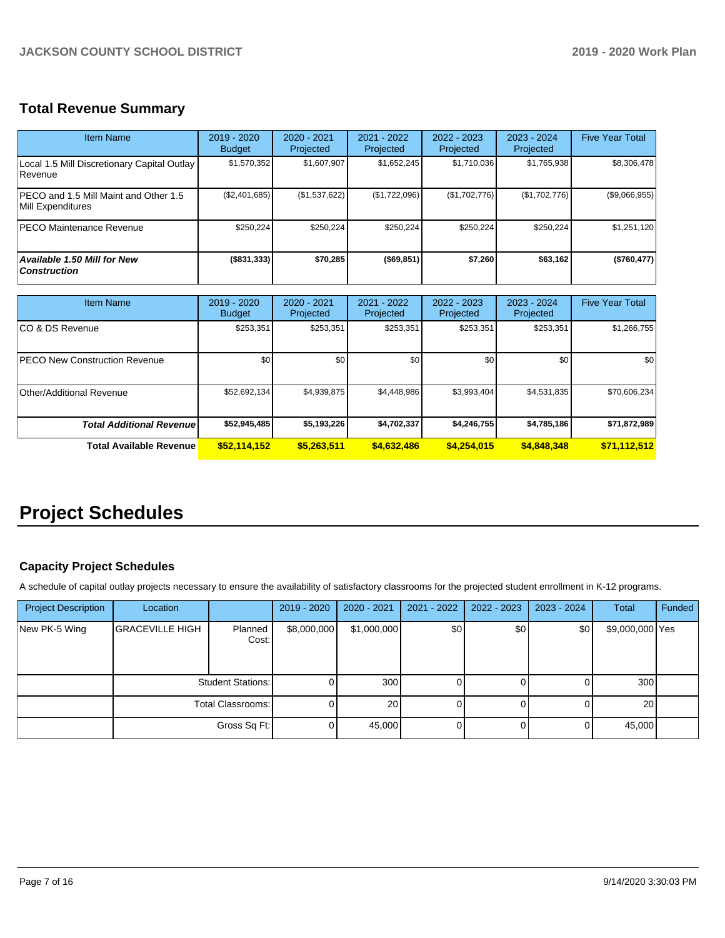# **Total Revenue Summary**

| <b>Item Name</b>                                              | 2019 - 2020<br><b>Budget</b> | $2020 - 2021$<br>Projected | 2021 - 2022<br>Projected | $2022 - 2023$<br>Projected | $2023 - 2024$<br>Projected | <b>Five Year Total</b> |
|---------------------------------------------------------------|------------------------------|----------------------------|--------------------------|----------------------------|----------------------------|------------------------|
| Local 1.5 Mill Discretionary Capital Outlay<br><b>Revenue</b> | \$1,570,352                  | \$1,607,907                | \$1,652,245              | \$1,710,036                | \$1,765,938                | \$8,306,478            |
| IPECO and 1.5 Mill Maint and Other 1.5<br>Mill Expenditures   | (\$2,401,685)                | (\$1,537,622)              | (\$1,722,096)            | (\$1,702,776)              | (\$1,702,776)              | (\$9,066,955)          |
| <b>PECO Maintenance Revenue</b>                               | \$250.224                    | \$250,224                  | \$250.224                | \$250.224                  | \$250.224                  | \$1,251,120            |
| Available 1.50 Mill for New<br><b>Construction</b>            | (\$831,333)                  | \$70,285                   | (\$69,851)               | \$7,260                    | \$63,162                   | (\$760, 477)           |

| <b>Item Name</b>                     | 2019 - 2020<br><b>Budget</b> | 2020 - 2021<br>Projected | 2021 - 2022<br>Projected | 2022 - 2023<br>Projected | 2023 - 2024<br>Projected | <b>Five Year Total</b> |
|--------------------------------------|------------------------------|--------------------------|--------------------------|--------------------------|--------------------------|------------------------|
| ICO & DS Revenue                     | \$253,351                    | \$253,351                | \$253,351                | \$253,351                | \$253,351                | \$1,266,755            |
| <b>PECO New Construction Revenue</b> | \$0                          | \$0                      | \$0                      | \$0                      | \$0                      | \$0                    |
| Other/Additional Revenue             | \$52,692,134                 | \$4,939,875              | \$4,448,986              | \$3,993,404              | \$4,531,835              | \$70,606,234           |
| <b>Total Additional Revenuel</b>     | \$52,945,485                 | \$5,193,226              | \$4,702,337              | \$4,246,755              | \$4,785,186              | \$71,872,989           |
| Total Available Revenue              | \$52,114,152                 | \$5,263,511              | \$4,632,486              | \$4.254.015              | \$4,848,348              | \$71,112,512           |

# **Project Schedules**

# **Capacity Project Schedules**

A schedule of capital outlay projects necessary to ensure the availability of satisfactory classrooms for the projected student enrollment in K-12 programs.

| <b>Project Description</b> | Location               |                          | 2019 - 2020 | $2020 - 2021$ | 2021 - 2022 | $2022 - 2023$ | 2023 - 2024 | <b>Total</b>    | Funded |
|----------------------------|------------------------|--------------------------|-------------|---------------|-------------|---------------|-------------|-----------------|--------|
| New PK-5 Wing              | <b>GRACEVILLE HIGH</b> | Planned<br>Cost:         | \$8,000,000 | \$1,000,000   | \$0         | \$0           | \$0         | \$9,000,000 Yes |        |
|                            |                        | <b>Student Stations:</b> |             | 300           |             |               |             | 300             |        |
|                            | Total Classrooms:      |                          |             | 20            |             |               |             | <b>20</b>       |        |
|                            |                        | Gross Sq Ft:             |             | 45,000        |             |               |             | 45,000          |        |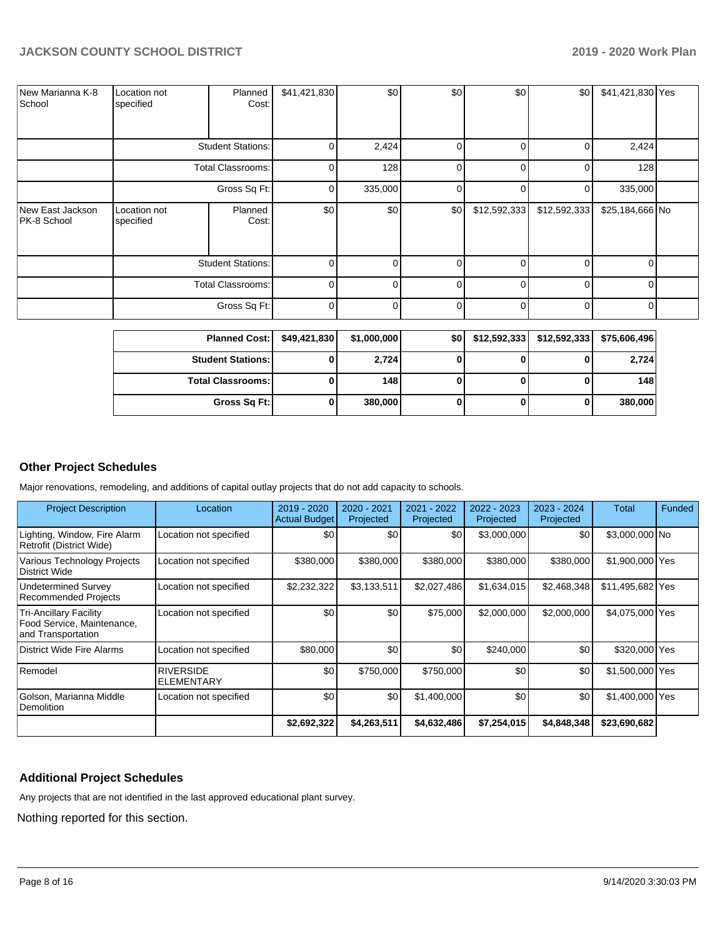| New Marianna K-8<br>School      | Location not<br>specified | Planned<br>Cost:         | \$41,421,830 | \$0          | \$0      | \$0          | \$0          | \$41,421,830 Yes |  |
|---------------------------------|---------------------------|--------------------------|--------------|--------------|----------|--------------|--------------|------------------|--|
|                                 |                           | <b>Student Stations:</b> | $\Omega$     | 2,424        | $\Omega$ | 0            | 0            | 2,424            |  |
|                                 |                           | <b>Total Classrooms:</b> | 0            | 128          | $\Omega$ | 0            | 0            | 128              |  |
|                                 | Gross Sq Ft:              |                          | 0            | 335,000      | $\Omega$ | 0            | 0            | 335,000          |  |
| New East Jackson<br>PK-8 School | Location not<br>specified | Planned<br>Cost:         | \$0          | \$0          | \$0      | \$12,592,333 | \$12,592,333 | \$25,184,666 No  |  |
|                                 | <b>Student Stations:</b>  |                          | $\Omega$     | <sup>0</sup> | $\Omega$ | 0            | $\Omega$     | $\Omega$         |  |
|                                 | <b>Total Classrooms:</b>  |                          | $\Omega$     |              | $\Omega$ | $\Omega$     | $\Omega$     | $\Omega$         |  |
|                                 |                           | Gross Sq Ft:             | $\mathbf 0$  | $\Omega$     | $\Omega$ | $\Omega$     | 0            | $\overline{0}$   |  |

| <b>Planned Cost:</b>       | \$49,421,830 | \$1,000,000 | <b>\$01</b> | $$12,592,333$ $$12,592,333$ | \$75,606,496 |
|----------------------------|--------------|-------------|-------------|-----------------------------|--------------|
| <b>Student Stations:</b>   |              | 2,724       |             |                             | 2,724        |
| <b>Total Classrooms: I</b> |              | 148         |             |                             | 148          |
| Gross Sq Ft:               |              | 380,000     |             |                             | 380,000      |

# **Other Project Schedules**

Major renovations, remodeling, and additions of capital outlay projects that do not add capacity to schools.

| <b>Project Description</b>                                                        | Location                              | 2019 - 2020<br><b>Actual Budget</b> | 2020 - 2021<br>Projected | 2021 - 2022<br>Projected | 2022 - 2023<br>Projected | 2023 - 2024<br>Projected | Total            | <b>Funded</b> |
|-----------------------------------------------------------------------------------|---------------------------------------|-------------------------------------|--------------------------|--------------------------|--------------------------|--------------------------|------------------|---------------|
| Lighting, Window, Fire Alarm<br>Retrofit (District Wide)                          | Location not specified                | \$0                                 | \$0                      | \$0                      | \$3,000,000              | \$0                      | \$3,000,000 No   |               |
| Various Technology Projects<br>District Wide                                      | Location not specified                | \$380,000                           | \$380,000                | \$380,000                | \$380,000                | \$380,000                | \$1,900,000 Yes  |               |
| Undetermined Survey<br><b>Recommended Projects</b>                                | Location not specified                | \$2,232,322                         | \$3,133,511              | \$2,027,486              | \$1,634,015              | \$2,468,348              | \$11,495,682 Yes |               |
| <b>Tri-Ancillary Facility</b><br>Food Service, Maintenance,<br>and Transportation | Location not specified                | \$0                                 | \$0                      | \$75,000                 | \$2,000,000              | \$2,000,000              | \$4,075,000 Yes  |               |
| District Wide Fire Alarms                                                         | Location not specified                | \$80,000                            | \$0                      | \$0                      | \$240,000                | \$0                      | \$320,000 Yes    |               |
| Remodel                                                                           | <b>RIVERSIDE</b><br><b>ELEMENTARY</b> | \$0                                 | \$750,000                | \$750,000                | \$0                      | \$0                      | \$1,500,000 Yes  |               |
| Golson, Marianna Middle<br>Demolition                                             | Location not specified                | \$0                                 | \$0                      | \$1,400,000              | \$0                      | \$0                      | \$1,400,000 Yes  |               |
|                                                                                   |                                       | \$2,692,322                         | \$4,263,511              | \$4,632,486              | \$7,254,015              | \$4,848,348              | \$23,690,682     |               |

# **Additional Project Schedules**

Any projects that are not identified in the last approved educational plant survey.

Nothing reported for this section.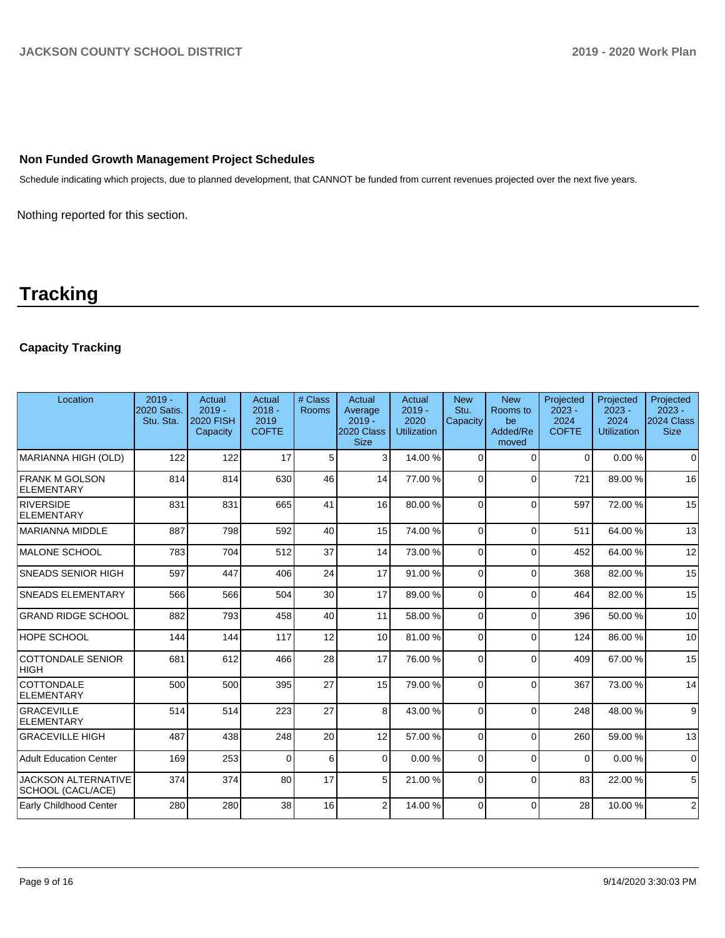# **Non Funded Growth Management Project Schedules**

Schedule indicating which projects, due to planned development, that CANNOT be funded from current revenues projected over the next five years.

Nothing reported for this section.

# **Tracking**

# **Capacity Tracking**

| Location                                        | $2019 -$<br>2020 Satis.<br>Stu. Sta. | Actual<br>$2019 -$<br><b>2020 FISH</b><br>Capacity | Actual<br>$2018 -$<br>2019<br><b>COFTE</b> | # Class<br><b>Rooms</b> | Actual<br>Average<br>$2019 -$<br>2020 Class<br><b>Size</b> | Actual<br>$2019 -$<br>2020<br><b>Utilization</b> | <b>New</b><br>Stu.<br>Capacity | <b>New</b><br>Rooms to<br>be<br>Added/Re<br>moved | Projected<br>$2023 -$<br>2024<br><b>COFTE</b> | Projected<br>$2023 -$<br>2024<br><b>Utilization</b> | Projected<br>$2023 -$<br>2024 Class<br><b>Size</b> |
|-------------------------------------------------|--------------------------------------|----------------------------------------------------|--------------------------------------------|-------------------------|------------------------------------------------------------|--------------------------------------------------|--------------------------------|---------------------------------------------------|-----------------------------------------------|-----------------------------------------------------|----------------------------------------------------|
| MARIANNA HIGH (OLD)                             | 122                                  | 122                                                | 17                                         | 5                       | $\overline{3}$                                             | 14.00 %                                          | $\Omega$                       | $\Omega$                                          | $\Omega$                                      | 0.00%                                               | $\Omega$                                           |
| <b>FRANK M GOLSON</b><br><b>ELEMENTARY</b>      | 814                                  | 814                                                | 630                                        | 46                      | 14                                                         | 77.00 %                                          | $\Omega$                       | $\Omega$                                          | 721                                           | 89.00 %                                             | 16                                                 |
| RIVERSIDE<br><b>ELEMENTARY</b>                  | 831                                  | 831                                                | 665                                        | 41                      | 16                                                         | 80.00%                                           | $\Omega$                       | $\Omega$                                          | 597                                           | 72.00 %                                             | 15                                                 |
| MARIANNA MIDDLE                                 | 887                                  | 798                                                | 592                                        | 40                      | 15                                                         | 74.00 %                                          | $\Omega$                       | $\Omega$                                          | 511                                           | 64.00 %                                             | 13                                                 |
| MALONE SCHOOL                                   | 783                                  | 704                                                | 512                                        | 37                      | 14                                                         | 73.00 %                                          | $\Omega$                       | $\Omega$                                          | 452                                           | 64.00%                                              | 12                                                 |
| <b>SNEADS SENIOR HIGH</b>                       | 597                                  | 447                                                | 406                                        | 24                      | 17                                                         | 91.00%                                           | $\Omega$                       | $\Omega$                                          | 368                                           | 82.00 %                                             | 15                                                 |
| <b>SNEADS ELEMENTARY</b>                        | 566                                  | 566                                                | 504                                        | 30                      | 17                                                         | 89.00 %                                          | $\Omega$                       | $\Omega$                                          | 464                                           | 82.00 %                                             | 15                                                 |
| <b>GRAND RIDGE SCHOOL</b>                       | 882                                  | 793                                                | 458                                        | 40                      | 11                                                         | 58.00 %                                          | $\Omega$                       | $\Omega$                                          | 396                                           | 50.00 %                                             | 10                                                 |
| HOPE SCHOOL                                     | 144                                  | 144                                                | 117                                        | 12                      | 10                                                         | 81.00%                                           | $\Omega$                       | $\Omega$                                          | 124                                           | 86.00 %                                             | 10                                                 |
| COTTONDALE SENIOR<br><b>HIGH</b>                | 681                                  | 612                                                | 466                                        | 28                      | 17                                                         | 76.00%                                           | $\Omega$                       | $\Omega$                                          | 409                                           | 67.00 %                                             | 15                                                 |
| COTTONDALE<br><b>ELEMENTARY</b>                 | 500                                  | 500                                                | 395                                        | 27                      | 15                                                         | 79.00 %                                          | $\Omega$                       | $\Omega$                                          | 367                                           | 73.00 %                                             | 14                                                 |
| <b>GRACEVILLE</b><br><b>ELEMENTARY</b>          | 514                                  | 514                                                | 223                                        | 27                      | 8                                                          | 43.00 %                                          | $\Omega$                       | $\Omega$                                          | 248                                           | 48.00 %                                             | 9                                                  |
| <b>GRACEVILLE HIGH</b>                          | 487                                  | 438                                                | 248                                        | 20                      | 12                                                         | 57.00 %                                          | $\Omega$                       | $\Omega$                                          | 260                                           | 59.00 %                                             | 13                                                 |
| <b>Adult Education Center</b>                   | 169                                  | 253                                                | $\Omega$                                   | 6                       | $\overline{0}$                                             | 0.00%                                            | $\Omega$                       | $\Omega$                                          | $\Omega$                                      | 0.00%                                               | $\mathbf 0$                                        |
| <b>JACKSON ALTERNATIVE</b><br>SCHOOL (CACL/ACE) | 374                                  | 374                                                | 80                                         | 17                      | 5 <sup>1</sup>                                             | 21.00%                                           | $\Omega$                       | $\Omega$                                          | 83                                            | 22.00 %                                             | 5                                                  |
| Early Childhood Center                          | 280                                  | 280                                                | 38                                         | 16                      | $\overline{2}$                                             | 14.00 %                                          | $\Omega$                       | $\Omega$                                          | 28                                            | 10.00 %                                             | $\overline{2}$                                     |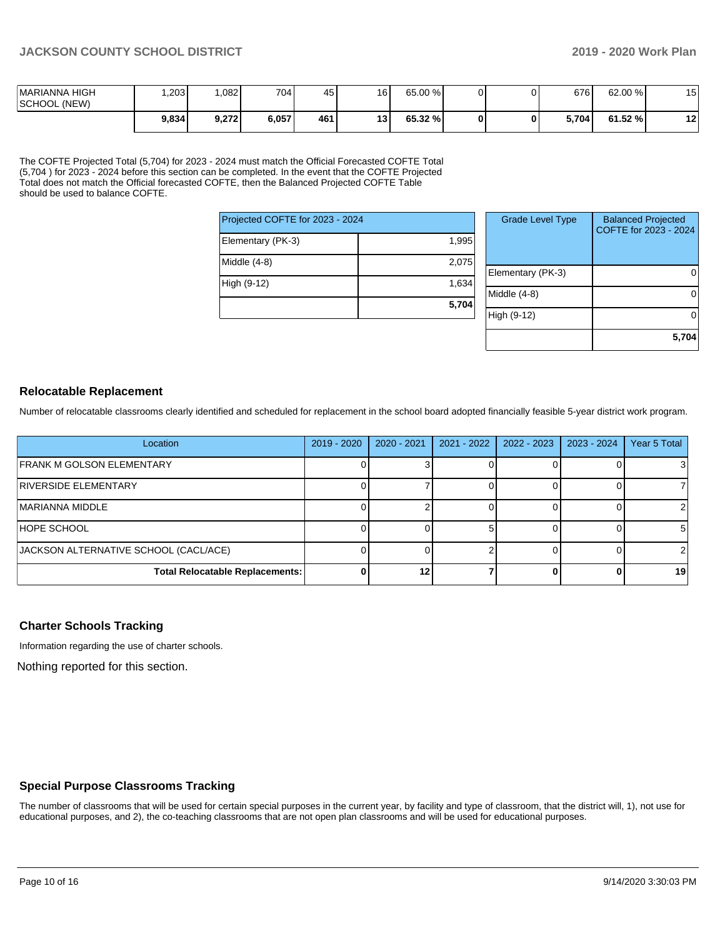| <b>IMARIANNA HIGH</b><br>SCHOOL (NEW) | .203  | 082   | 7041  | 45  | 16 | 65.00 % |  | 676   | 62.00 % | AC<br>◡               |
|---------------------------------------|-------|-------|-------|-----|----|---------|--|-------|---------|-----------------------|
|                                       | 9,834 | 9.272 | 6,057 | 461 | 13 | 65.32 % |  | 5.704 | 61.52 % | $\overline{a}$<br>. . |

The COFTE Projected Total (5,704) for 2023 - 2024 must match the Official Forecasted COFTE Total (5,704 ) for 2023 - 2024 before this section can be completed. In the event that the COFTE Projected Total does not match the Official forecasted COFTE, then the Balanced Projected COFTE Table should be used to balance COFTE.

| Projected COFTE for 2023 - 2024 |       |
|---------------------------------|-------|
| Elementary (PK-3)               | 1,995 |
| Middle (4-8)                    | 2,075 |
| High (9-12)                     | 1,634 |
|                                 | 5,704 |

| <b>Grade Level Type</b> | <b>Balanced Projected</b><br>COFTE for 2023 - 2024 |
|-------------------------|----------------------------------------------------|
| Elementary (PK-3)       |                                                    |
| Middle $(4-8)$          |                                                    |
| High (9-12)             |                                                    |
|                         | 5,704                                              |

#### **Relocatable Replacement**

Number of relocatable classrooms clearly identified and scheduled for replacement in the school board adopted financially feasible 5-year district work program.

| Location                               | $2019 - 2020$ | $2020 - 2021$ | $2021 - 2022$ | 2022 - 2023 | 2023 - 2024 | Year 5 Total |
|----------------------------------------|---------------|---------------|---------------|-------------|-------------|--------------|
| <b>FRANK M GOLSON ELEMENTARY</b>       |               |               |               |             |             |              |
| RIVERSIDE ELEMENTARY                   |               |               |               |             |             |              |
| IMARIANNA MIDDLE                       |               |               |               |             |             |              |
| HOPE SCHOOL                            |               |               |               |             |             | 51           |
| JACKSON ALTERNATIVE SCHOOL (CACL/ACE)  |               |               |               |             |             |              |
| <b>Total Relocatable Replacements:</b> |               | 12            |               |             |             | 19           |

#### **Charter Schools Tracking**

Information regarding the use of charter schools.

Nothing reported for this section.

#### **Special Purpose Classrooms Tracking**

The number of classrooms that will be used for certain special purposes in the current year, by facility and type of classroom, that the district will, 1), not use for educational purposes, and 2), the co-teaching classrooms that are not open plan classrooms and will be used for educational purposes.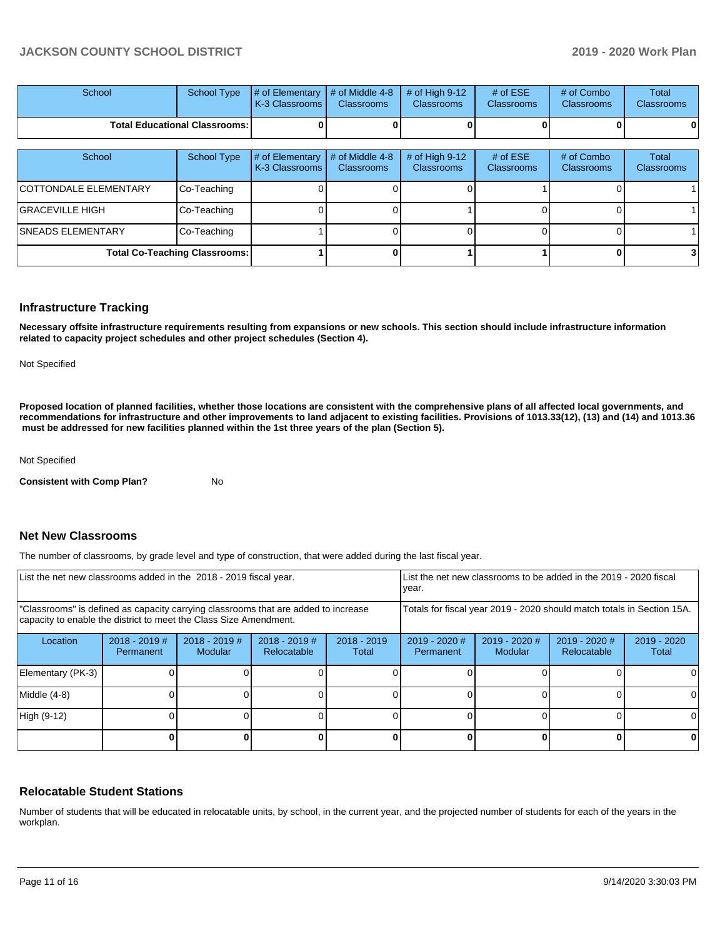| School                               |  | School Type $\left  \frac{1}{2}$ of Elementary $\left  \frac{1}{2}$ of Middle 4-8 $\left  \frac{1}{2}$ of High 9-12<br><b>K-3 Classrooms L</b> | <b>Classrooms</b> | <b>Classrooms</b> | # of $ESE$<br><b>Classrooms</b> | # of Combo<br><b>Classrooms</b> | Total<br><b>Classrooms</b> |
|--------------------------------------|--|------------------------------------------------------------------------------------------------------------------------------------------------|-------------------|-------------------|---------------------------------|---------------------------------|----------------------------|
| <b>Total Educational Classrooms:</b> |  |                                                                                                                                                |                   |                   | 0                               | 01                              |                            |

| School                               | <b>School Type</b> | # of Elementary<br>K-3 Classrooms | # of Middle 4-8<br><b>Classrooms</b> | # of High $9-12$<br><b>Classrooms</b> | # of $ESE$<br>Classrooms | # of Combo<br><b>Classrooms</b> | Total<br><b>Classrooms</b> |
|--------------------------------------|--------------------|-----------------------------------|--------------------------------------|---------------------------------------|--------------------------|---------------------------------|----------------------------|
| <b>COTTONDALE ELEMENTARY</b>         | Co-Teaching        |                                   |                                      |                                       |                          |                                 |                            |
| <b>GRACEVILLE HIGH</b>               | Co-Teaching        |                                   |                                      |                                       |                          |                                 |                            |
| <b>SNEADS ELEMENTARY</b>             | Co-Teaching        |                                   |                                      |                                       |                          |                                 |                            |
| <b>Total Co-Teaching Classrooms:</b> |                    |                                   |                                      |                                       |                          |                                 |                            |

#### **Infrastructure Tracking**

**Necessary offsite infrastructure requirements resulting from expansions or new schools. This section should include infrastructure information related to capacity project schedules and other project schedules (Section 4).** 

Not Specified

**Proposed location of planned facilities, whether those locations are consistent with the comprehensive plans of all affected local governments, and recommendations for infrastructure and other improvements to land adjacent to existing facilities. Provisions of 1013.33(12), (13) and (14) and 1013.36** must be addressed for new facilities planned within the 1st three years of the plan (Section 5).

Not Specified

**Consistent with Comp Plan?** No

# **Net New Classrooms**

The number of classrooms, by grade level and type of construction, that were added during the last fiscal year.

| List the net new classrooms added in the 2018 - 2019 fiscal year.                                                                                       |                              |                                   |                                |                                                                        | List the net new classrooms to be added in the 2019 - 2020 fiscal<br>year. |                                   |                                |                        |
|---------------------------------------------------------------------------------------------------------------------------------------------------------|------------------------------|-----------------------------------|--------------------------------|------------------------------------------------------------------------|----------------------------------------------------------------------------|-----------------------------------|--------------------------------|------------------------|
| "Classrooms" is defined as capacity carrying classrooms that are added to increase<br>capacity to enable the district to meet the Class Size Amendment. |                              |                                   |                                | Totals for fiscal year 2019 - 2020 should match totals in Section 15A. |                                                                            |                                   |                                |                        |
| Location                                                                                                                                                | $2018 - 2019$ #<br>Permanent | $2018 - 2019$ #<br><b>Modular</b> | $2018 - 2019$ #<br>Relocatable | $2018 - 2019$<br>Total                                                 | $2019 - 2020$ #<br>Permanent                                               | $2019 - 2020$ #<br><b>Modular</b> | $2019 - 2020$ #<br>Relocatable | $2019 - 2020$<br>Total |
| Elementary (PK-3)                                                                                                                                       |                              |                                   |                                |                                                                        |                                                                            |                                   |                                |                        |
| Middle (4-8)                                                                                                                                            |                              |                                   |                                |                                                                        |                                                                            |                                   |                                | ΩI                     |
| High (9-12)                                                                                                                                             |                              |                                   |                                |                                                                        |                                                                            |                                   |                                |                        |
|                                                                                                                                                         |                              |                                   |                                |                                                                        | ŋ                                                                          |                                   | ŋ                              | 0                      |

#### **Relocatable Student Stations**

Number of students that will be educated in relocatable units, by school, in the current year, and the projected number of students for each of the years in the workplan.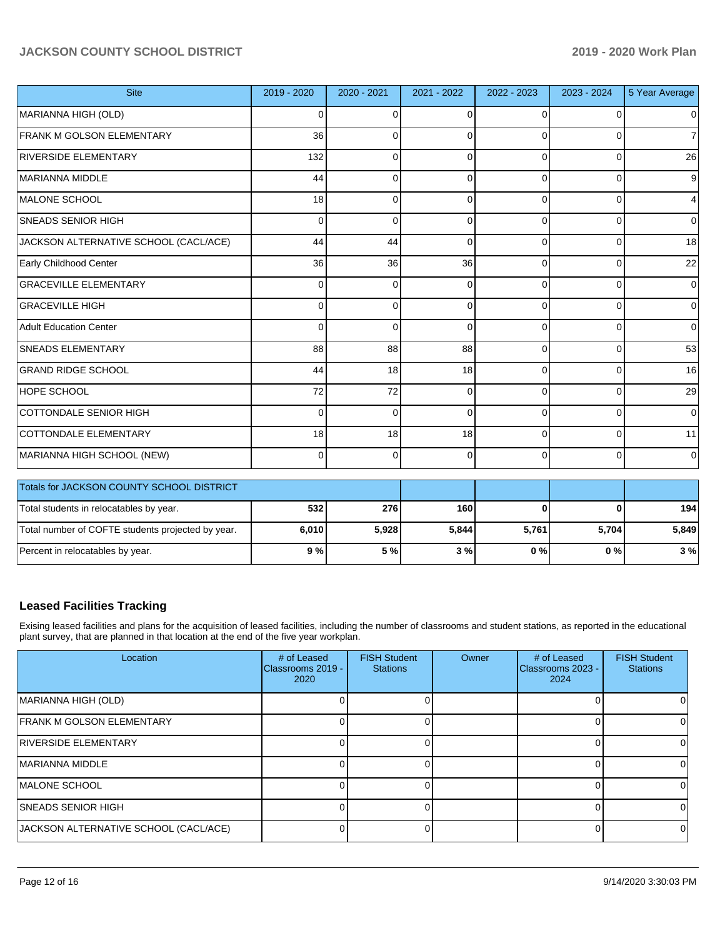| <b>Site</b>                                       | 2019 - 2020 | 2020 - 2021 | 2021 - 2022 | 2022 - 2023 | 2023 - 2024    | 5 Year Average |
|---------------------------------------------------|-------------|-------------|-------------|-------------|----------------|----------------|
| MARIANNA HIGH (OLD)                               | $\Omega$    | 0           | $\Omega$    | $\Omega$    | $\Omega$       | $\overline{0}$ |
| FRANK M GOLSON ELEMENTARY                         | 36          | 0           | 0           | 0           | 0              | 7              |
| <b>RIVERSIDE ELEMENTARY</b>                       | 132         | 0           | C           | $\Omega$    | 0              | 26             |
| MARIANNA MIDDLE                                   | 44          | $\Omega$    | $\Omega$    | $\Omega$    | $\Omega$       | 9              |
| MALONE SCHOOL                                     | 18          | 0           | $\Omega$    | 0           | $\Omega$       | 4              |
| <b>SNEADS SENIOR HIGH</b>                         | $\Omega$    | $\Omega$    | $\Omega$    | 0           | $\overline{0}$ | $\overline{0}$ |
| JACKSON ALTERNATIVE SCHOOL (CACL/ACE)             | 44          | 44          | $\Omega$    | $\Omega$    | $\Omega$       | 18             |
| Early Childhood Center                            | 36          | 36          | 36          | 0           | 0              | 22             |
| <b>GRACEVILLE ELEMENTARY</b>                      | $\Omega$    | $\Omega$    | $\Omega$    | 0           | $\Omega$       | $\mathbf 0$    |
| <b>GRACEVILLE HIGH</b>                            | $\Omega$    | $\Omega$    | $\Omega$    | 0           | $\Omega$       | $\Omega$       |
| <b>Adult Education Center</b>                     | $\Omega$    | 0           | $\Omega$    | $\Omega$    | $\Omega$       | $\overline{0}$ |
| <b>SNEADS ELEMENTARY</b>                          | 88          | 88          | 88          | $\Omega$    | $\Omega$       | 53             |
| <b>GRAND RIDGE SCHOOL</b>                         | 44          | 18          | 18          | 0           | 0              | 16             |
| <b>HOPE SCHOOL</b>                                | 72          | 72          | $\Omega$    | 0           | 0              | 29             |
| <b>COTTONDALE SENIOR HIGH</b>                     | $\Omega$    | $\Omega$    | $\Omega$    | $\Omega$    | $\Omega$       | $\mathbf 0$    |
| COTTONDALE ELEMENTARY                             | 18          | 18          | 18          | $\Omega$    | $\Omega$       | 11             |
| MARIANNA HIGH SCHOOL (NEW)                        | 0           | 0           | $\Omega$    | $\Omega$    | $\mathbf 0$    | 0              |
| Totals for JACKSON COUNTY SCHOOL DISTRICT         |             |             |             |             |                |                |
| Total students in relocatables by year.           | 532         | 276         | 160         | ŋ           | $\Omega$       | 194            |
| Total number of COFTE students projected by year. | 6,010       | 5,928       | 5,844       | 5,761       | 5,704          | 5,849          |
| Percent in relocatables by year.                  | 9%          | 5 %         | 3%          | 0%          | 0%             | 3%             |

# **Leased Facilities Tracking**

Exising leased facilities and plans for the acquisition of leased facilities, including the number of classrooms and student stations, as reported in the educational plant survey, that are planned in that location at the end of the five year workplan.

| Location                              | # of Leased<br>Classrooms 2019 -<br>2020 | <b>FISH Student</b><br><b>Stations</b> | Owner | # of Leased<br>Classrooms 2023 -<br>2024 | <b>FISH Student</b><br><b>Stations</b> |
|---------------------------------------|------------------------------------------|----------------------------------------|-------|------------------------------------------|----------------------------------------|
| MARIANNA HIGH (OLD)                   |                                          |                                        |       |                                          |                                        |
| <b>FRANK M GOLSON ELEMENTARY</b>      |                                          |                                        |       |                                          | 0                                      |
| <b>RIVERSIDE ELEMENTARY</b>           |                                          |                                        |       |                                          |                                        |
| <b>MARIANNA MIDDLE</b>                |                                          |                                        |       |                                          |                                        |
| <b>IMALONE SCHOOL</b>                 |                                          |                                        |       |                                          |                                        |
| <b>ISNEADS SENIOR HIGH</b>            |                                          |                                        |       |                                          |                                        |
| JACKSON ALTERNATIVE SCHOOL (CACL/ACE) |                                          |                                        |       |                                          | 0                                      |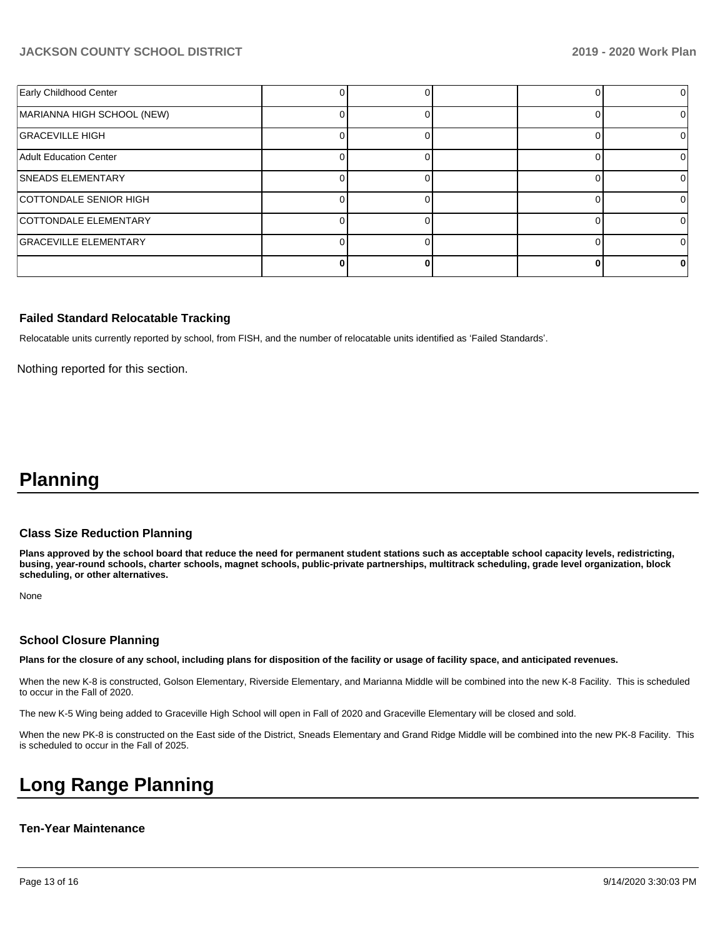| Early Childhood Center       |  |  |  |
|------------------------------|--|--|--|
| MARIANNA HIGH SCHOOL (NEW)   |  |  |  |
| <b>GRACEVILLE HIGH</b>       |  |  |  |
| Adult Education Center       |  |  |  |
| <b>SNEADS ELEMENTARY</b>     |  |  |  |
| COTTONDALE SENIOR HIGH       |  |  |  |
| <b>COTTONDALE ELEMENTARY</b> |  |  |  |
| <b>GRACEVILLE ELEMENTARY</b> |  |  |  |
|                              |  |  |  |

#### **Failed Standard Relocatable Tracking**

Relocatable units currently reported by school, from FISH, and the number of relocatable units identified as 'Failed Standards'.

Nothing reported for this section.

# **Planning**

#### **Class Size Reduction Planning**

**Plans approved by the school board that reduce the need for permanent student stations such as acceptable school capacity levels, redistricting, busing, year-round schools, charter schools, magnet schools, public-private partnerships, multitrack scheduling, grade level organization, block scheduling, or other alternatives.**

None

#### **School Closure Planning**

**Plans for the closure of any school, including plans for disposition of the facility or usage of facility space, and anticipated revenues.** 

When the new K-8 is constructed, Golson Elementary, Riverside Elementary, and Marianna Middle will be combined into the new K-8 Facility. This is scheduled to occur in the Fall of 2020.

The new K-5 Wing being added to Graceville High School will open in Fall of 2020 and Graceville Elementary will be closed and sold.

When the new PK-8 is constructed on the East side of the District, Sneads Elementary and Grand Ridge Middle will be combined into the new PK-8 Facility. This is scheduled to occur in the Fall of 2025.

# **Long Range Planning**

#### **Ten-Year Maintenance**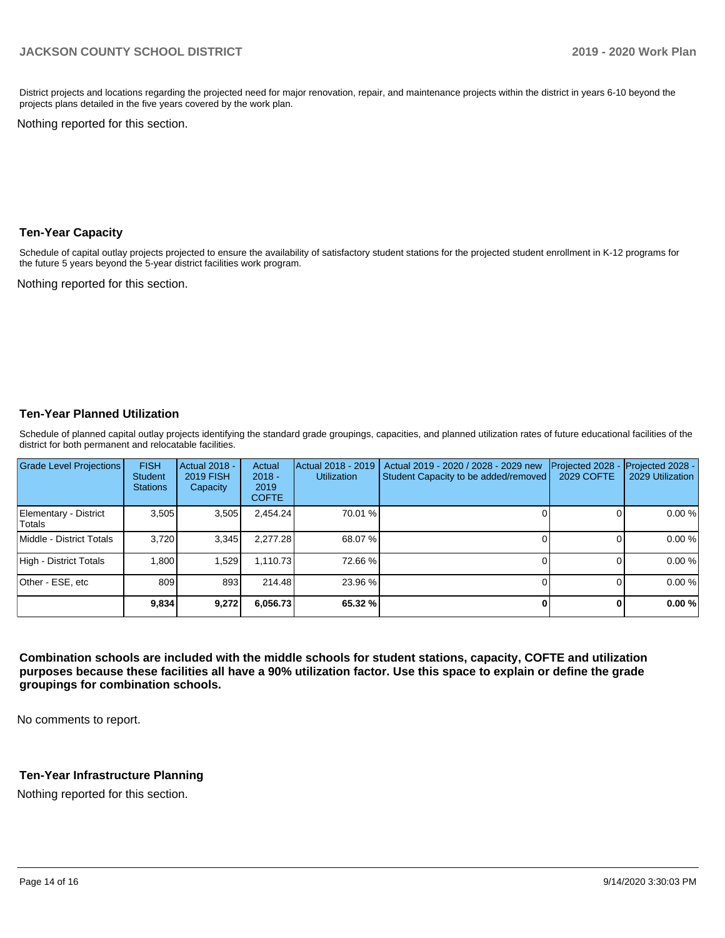District projects and locations regarding the projected need for major renovation, repair, and maintenance projects within the district in years 6-10 beyond the projects plans detailed in the five years covered by the work plan.

Nothing reported for this section.

### **Ten-Year Capacity**

Schedule of capital outlay projects projected to ensure the availability of satisfactory student stations for the projected student enrollment in K-12 programs for the future 5 years beyond the 5-year district facilities work program.

Nothing reported for this section.

# **Ten-Year Planned Utilization**

Schedule of planned capital outlay projects identifying the standard grade groupings, capacities, and planned utilization rates of future educational facilities of the district for both permanent and relocatable facilities.

| Grade Level Projections         | <b>FISH</b><br><b>Student</b><br><b>Stations</b> | Actual 2018 -<br><b>2019 FISH</b><br>Capacity | Actual<br>$2018 -$<br>2019<br><b>COFTE</b> | Actual 2018 - 2019<br><b>Utilization</b> | Actual 2019 - 2020 / 2028 - 2029 new<br>Student Capacity to be added/removed | Projected 2028<br>2029 COFTE | Projected 2028 -<br>2029 Utilization |
|---------------------------------|--------------------------------------------------|-----------------------------------------------|--------------------------------------------|------------------------------------------|------------------------------------------------------------------------------|------------------------------|--------------------------------------|
| Elementary - District<br>Totals | 3.505                                            | 3,505                                         | 2.454.24                                   | 70.01 %                                  |                                                                              |                              | 0.00%                                |
| Middle - District Totals        | 3.720                                            | 3.345                                         | 2.277.28                                   | 68.07%                                   |                                                                              |                              | 0.00%                                |
| High - District Totals          | 0.800                                            | 1.529                                         | 1.110.73                                   | 72.66 %                                  |                                                                              |                              | 0.00%                                |
| Other - ESE, etc                | 809                                              | 893                                           | 214.48                                     | 23.96 %                                  |                                                                              |                              | 0.00%                                |
|                                 | 9,834                                            | 9,272                                         | 6,056.73                                   | 65.32 %                                  |                                                                              |                              | 0.00%                                |

**Combination schools are included with the middle schools for student stations, capacity, COFTE and utilization purposes because these facilities all have a 90% utilization factor. Use this space to explain or define the grade groupings for combination schools.** 

No comments to report.

# **Ten-Year Infrastructure Planning**

Nothing reported for this section.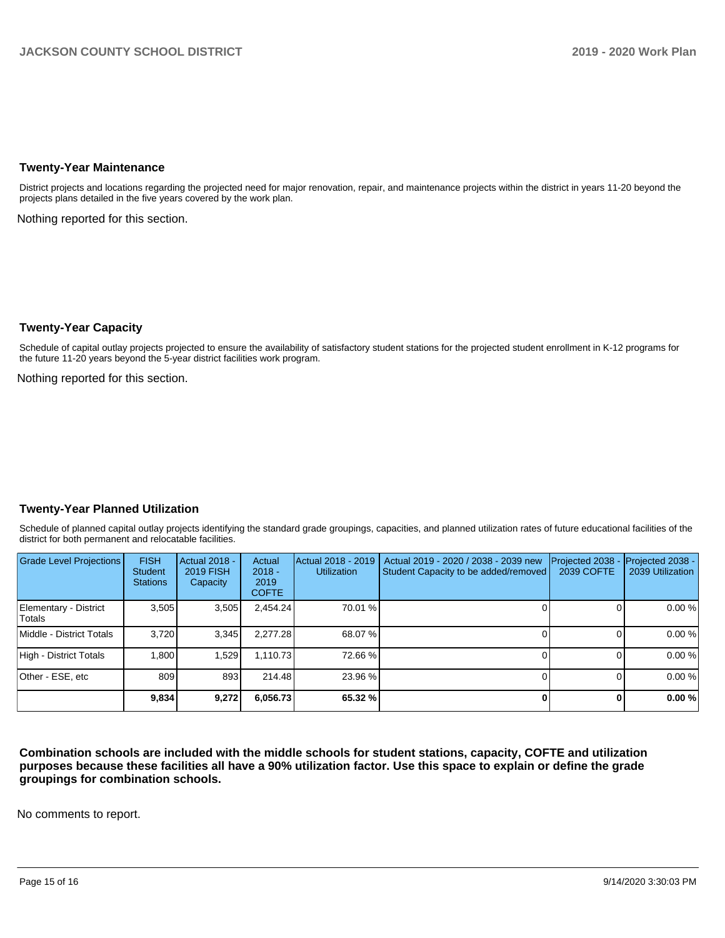#### **Twenty-Year Maintenance**

District projects and locations regarding the projected need for major renovation, repair, and maintenance projects within the district in years 11-20 beyond the projects plans detailed in the five years covered by the work plan.

Nothing reported for this section.

# **Twenty-Year Capacity**

Schedule of capital outlay projects projected to ensure the availability of satisfactory student stations for the projected student enrollment in K-12 programs for the future 11-20 years beyond the 5-year district facilities work program.

Nothing reported for this section.

# **Twenty-Year Planned Utilization**

Schedule of planned capital outlay projects identifying the standard grade groupings, capacities, and planned utilization rates of future educational facilities of the district for both permanent and relocatable facilities.

| <b>Grade Level Projections</b>  | <b>FISH</b><br><b>Student</b><br><b>Stations</b> | <b>Actual 2018 -</b><br><b>2019 FISH</b><br>Capacity | Actual<br>$2018 -$<br>2019<br><b>COFTE</b> | Actual 2018 - 2019<br><b>Utilization</b> | Actual 2019 - 2020 / 2038 - 2039 new<br>Student Capacity to be added/removed | Projected 2038<br>2039 COFTE | Projected 2038 -<br>2039 Utilization |
|---------------------------------|--------------------------------------------------|------------------------------------------------------|--------------------------------------------|------------------------------------------|------------------------------------------------------------------------------|------------------------------|--------------------------------------|
| Elementary - District<br>Totals | 3,505                                            | 3,505                                                | 2,454.24                                   | 70.01 %                                  |                                                                              |                              | 0.00 %                               |
| Middle - District Totals        | 3.720                                            | 3,345                                                | 2.277.28                                   | 68.07 %                                  |                                                                              |                              | 0.00 %                               |
| High - District Totals          | 1.800                                            | 1.529                                                | 1.110.73                                   | 72.66 %                                  |                                                                              |                              | 0.00 %                               |
| Other - ESE, etc                | 809                                              | 893                                                  | 214.48                                     | 23.96 %                                  |                                                                              |                              | 0.00 %                               |
|                                 | 9,834                                            | 9,272                                                | 6,056.73                                   | 65.32 %                                  |                                                                              |                              | 0.00 %                               |

**Combination schools are included with the middle schools for student stations, capacity, COFTE and utilization purposes because these facilities all have a 90% utilization factor. Use this space to explain or define the grade groupings for combination schools.** 

No comments to report.